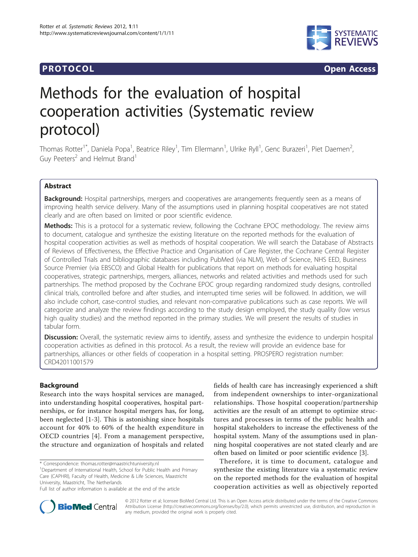## **PROTOCOL CONSUMING ACCESS**



# Methods for the evaluation of hospital cooperation activities (Systematic review protocol)

Thomas Rotter<sup>1\*</sup>, Daniela Popa<sup>1</sup>, Beatrice Riley<sup>1</sup>, Tim Ellermann<sup>1</sup>, Ulrike Ryll<sup>1</sup>, Genc Burazeri<sup>1</sup>, Piet Daemen<sup>2</sup> , Guy Peeters<sup>2</sup> and Helmut Brand<sup>1</sup>

## Abstract

**Background:** Hospital partnerships, mergers and cooperatives are arrangements frequently seen as a means of improving health service delivery. Many of the assumptions used in planning hospital cooperatives are not stated clearly and are often based on limited or poor scientific evidence.

**Methods:** This is a protocol for a systematic review, following the Cochrane EPOC methodology. The review aims to document, catalogue and synthesize the existing literature on the reported methods for the evaluation of hospital cooperation activities as well as methods of hospital cooperation. We will search the Database of Abstracts of Reviews of Effectiveness, the Effective Practice and Organisation of Care Register, the Cochrane Central Register of Controlled Trials and bibliographic databases including PubMed (via NLM), Web of Science, NHS EED, Business Source Premier (via EBSCO) and Global Health for publications that report on methods for evaluating hospital cooperatives, strategic partnerships, mergers, alliances, networks and related activities and methods used for such partnerships. The method proposed by the Cochrane EPOC group regarding randomized study designs, controlled clinical trials, controlled before and after studies, and interrupted time series will be followed. In addition, we will also include cohort, case-control studies, and relevant non-comparative publications such as case reports. We will categorize and analyze the review findings according to the study design employed, the study quality (low versus high quality studies) and the method reported in the primary studies. We will present the results of studies in tabular form.

Discussion: Overall, the systematic review aims to identify, assess and synthesize the evidence to underpin hospital cooperation activities as defined in this protocol. As a result, the review will provide an evidence base for partnerships, alliances or other fields of cooperation in a hospital setting. PROSPERO registration number: CRD42011001579

## Background

Research into the ways hospital services are managed, into understanding hospital cooperatives, hospital partnerships, or for instance hospital mergers has, for long, been neglected [\[1](#page-3-0)-[3](#page-3-0)]. This is astonishing since hospitals account for 40% to 60% of the health expenditure in OECD countries [[4](#page-3-0)]. From a management perspective, the structure and organization of hospitals and related

\* Correspondence: [thomas.rotter@maastrichtuniversity.nl](mailto:thomas.rotter@maastrichtuniversity.nl)

<sup>1</sup>Department of International Health, School for Public Health and Primary Care (CAPHRI), Faculty of Health, Medicine & Life Sciences, Maastricht University, Maastricht, The Netherlands

fields of health care has increasingly experienced a shift from independent ownerships to inter-organizational relationships. Those hospital cooperation/partnership activities are the result of an attempt to optimize structures and processes in terms of the public health and hospital stakeholders to increase the effectiveness of the hospital system. Many of the assumptions used in planning hospital cooperatives are not stated clearly and are often based on limited or poor scientific evidence [\[3](#page-3-0)].

Therefore, it is time to document, catalogue and synthesize the existing literature via a systematic review on the reported methods for the evaluation of hospital cooperation activities as well as objectively reported



© 2012 Rotter et al; licensee BioMed Central Ltd. This is an Open Access article distributed under the terms of the Creative Commons Attribution License [\(http://creativecommons.org/licenses/by/2.0](http://creativecommons.org/licenses/by/2.0)), which permits unrestricted use, distribution, and reproduction in any medium, provided the original work is properly cited.

Full list of author information is available at the end of the article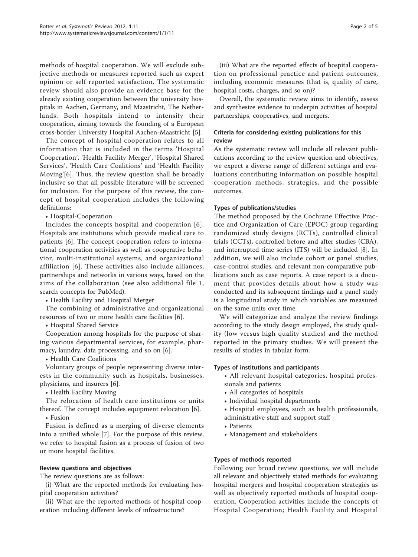methods of hospital cooperation. We will exclude subjective methods or measures reported such as expert opinion or self reported satisfaction. The systematic review should also provide an evidence base for the already existing cooperation between the university hospitals in Aachen, Germany, and Maastricht, The Netherlands. Both hospitals intend to intensify their cooperation, aiming towards the founding of a European cross-border University Hospital Aachen-Maastricht [[5\]](#page-3-0).

The concept of hospital cooperation relates to all information that is included in the terms 'Hospital Cooperation', 'Health Facility Merger', 'Hospital Shared Services', 'Health Care Coalitions' and 'Health Facility Moving'[\[6](#page-3-0)]. Thus, the review question shall be broadly inclusive so that all possible literature will be screened for inclusion. For the purpose of this review, the concept of hospital cooperation includes the following definitions:

• Hospital-Cooperation

Includes the concepts hospital and cooperation [[6\]](#page-3-0). Hospitals are institutions which provide medical care to patients [\[6](#page-3-0)]. The concept cooperation refers to international cooperation activities as well as cooperative behavior, multi-institutional systems, and organizational affiliation [[6\]](#page-3-0). These activities also include alliances, partnerships and networks in various ways, based on the aims of the collaboration (see also additional file [1](#page-3-0), search concepts for PubMed).

• Health Facility and Hospital Merger

The combining of administrative and organizational resources of two or more health care facilities [\[6\]](#page-3-0).

• Hospital Shared Service

Cooperation among hospitals for the purpose of sharing various departmental services, for example, pharmacy, laundry, data processing, and so on [\[6](#page-3-0)].

• Health Care Coalitions

Voluntary groups of people representing diverse interests in the community such as hospitals, businesses, physicians, and insurers [[6\]](#page-3-0).

• Health Facility Moving

The relocation of health care institutions or units thereof. The concept includes equipment relocation [\[6\]](#page-3-0).

• Fusion

Fusion is defined as a merging of diverse elements into a unified whole [[7\]](#page-3-0). For the purpose of this review, we refer to hospital fusion as a process of fusion of two or more hospital facilities.

#### Review questions and objectives

The review questions are as follows:

(i) What are the reported methods for evaluating hospital cooperation activities?

(ii) What are the reported methods of hospital cooperation including different levels of infrastructure?

(iii) What are the reported effects of hospital cooperation on professional practice and patient outcomes, including economic measures (that is, quality of care, hospital costs, charges, and so on)?

Overall, the systematic review aims to identify, assess and synthesize evidence to underpin activities of hospital partnerships, cooperatives, and mergers.

## Criteria for considering existing publications for this review

As the systematic review will include all relevant publications according to the review question and objectives, we expect a diverse range of different settings and evaluations contributing information on possible hospital cooperation methods, strategies, and the possible outcomes.

### Types of publications/studies

The method proposed by the Cochrane Effective Practice and Organization of Care (EPOC) group regarding randomized study designs (RCTs), controlled clinical trials (CCTs), controlled before and after studies (CBA), and interrupted time series (ITS) will be included [\[8](#page-3-0)]. In addition, we will also include cohort or panel studies, case-control studies, and relevant non-comparative publications such as case reports. A case report is a document that provides details about how a study was conducted and its subsequent findings and a panel study is a longitudinal study in which variables are measured on the same units over time.

We will categorize and analyze the review findings according to the study design employed, the study quality (low versus high quality studies) and the method reported in the primary studies. We will present the results of studies in tabular form.

#### Types of institutions and participants

• All relevant hospital categories, hospital professionals and patients

- All categories of hospitals
- Individual hospital departments
- Hospital employees, such as health professionals,
- administrative staff and support staff
- Patients
- Management and stakeholders

#### Types of methods reported

Following our broad review questions, we will include all relevant and objectively stated methods for evaluating hospital mergers and hospital cooperation strategies as well as objectively reported methods of hospital cooperation. Cooperation activities include the concepts of Hospital Cooperation; Health Facility and Hospital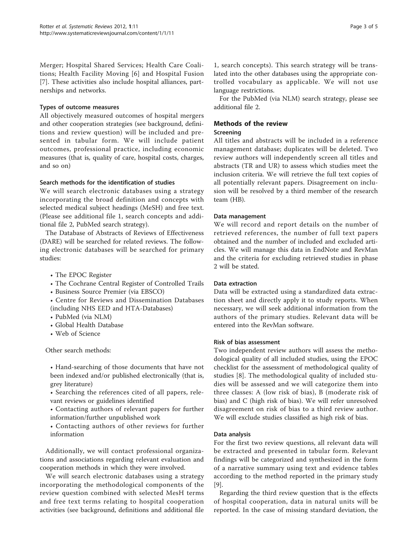Merger; Hospital Shared Services; Health Care Coalitions; Health Facility Moving [[6\]](#page-3-0) and Hospital Fusion [[7\]](#page-3-0). These activities also include hospital alliances, partnerships and networks.

### Types of outcome measures

All objectively measured outcomes of hospital mergers and other cooperation strategies (see background, definitions and review question) will be included and presented in tabular form. We will include patient outcomes, professional practice, including economic measures (that is, quality of care, hospital costs, charges, and so on)

### Search methods for the identification of studies

We will search electronic databases using a strategy incorporating the broad definition and concepts with selected medical subject headings (MeSH) and free text. (Please see additional file [1](#page-3-0), search concepts and additional file [2](#page-3-0), PubMed search strategy).

The Database of Abstracts of Reviews of Effectiveness (DARE) will be searched for related reviews. The following electronic databases will be searched for primary studies:

- The EPOC Register
- The Cochrane Central Register of Controlled Trails
- Business Source Premier (via EBSCO)
- Centre for Reviews and Dissemination Databases (including NHS EED and HTA-Databases)
- PubMed (via NLM)
- Global Health Database
- Web of Science

Other search methods:

• Hand-searching of those documents that have not been indexed and/or published electronically (that is, grey literature)

• Searching the references cited of all papers, relevant reviews or guidelines identified

• Contacting authors of relevant papers for further information/further unpublished work

• Contacting authors of other reviews for further information

Additionally, we will contact professional organizations and associations regarding relevant evaluation and cooperation methods in which they were involved.

We will search electronic databases using a strategy incorporating the methodological components of the review question combined with selected MesH terms and free text terms relating to hospital cooperation activities (see background, definitions and additional file

[1,](#page-3-0) search concepts). This search strategy will be translated into the other databases using the appropriate controlled vocabulary as applicable. We will not use language restrictions.

For the PubMed (via NLM) search strategy, please see additional file [2.](#page-3-0)

## Methods of the review

## Screening

All titles and abstracts will be included in a reference management database; duplicates will be deleted. Two review authors will independently screen all titles and abstracts (TR and UR) to assess which studies meet the inclusion criteria. We will retrieve the full text copies of all potentially relevant papers. Disagreement on inclusion will be resolved by a third member of the research team (HB).

#### Data management

We will record and report details on the number of retrieved references, the number of full text papers obtained and the number of included and excluded articles. We will manage this data in EndNote and RevMan and the criteria for excluding retrieved studies in phase 2 will be stated.

### Data extraction

Data will be extracted using a standardized data extraction sheet and directly apply it to study reports. When necessary, we will seek additional information from the authors of the primary studies. Relevant data will be entered into the RevMan software.

### Risk of bias assessment

Two independent review authors will assess the methodological quality of all included studies, using the EPOC checklist for the assessment of methodological quality of studies [[8\]](#page-3-0). The methodological quality of included studies will be assessed and we will categorize them into three classes: A (low risk of bias), B (moderate risk of bias) and C (high risk of bias). We will refer unresolved disagreement on risk of bias to a third review author. We will exclude studies classified as high risk of bias.

### Data analysis

For the first two review questions, all relevant data will be extracted and presented in tabular form. Relevant findings will be categorized and synthesized in the form of a narrative summary using text and evidence tables according to the method reported in the primary study [[9\]](#page-3-0).

Regarding the third review question that is the effects of hospital cooperation, data in natural units will be reported. In the case of missing standard deviation, the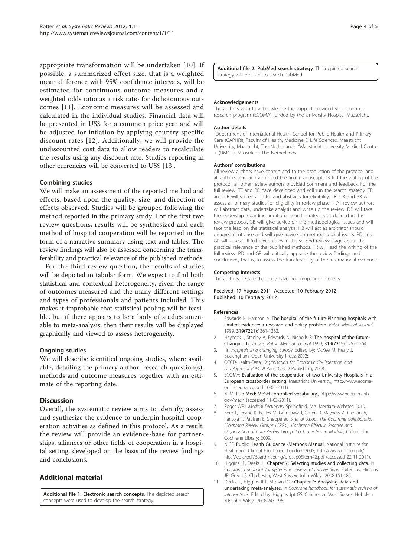<span id="page-3-0"></span>appropriate transformation will be undertaken [10]. If possible, a summarized effect size, that is a weighted mean difference with 95% confidence intervals, will be estimated for continuous outcome measures and a weighted odds ratio as a risk ratio for dichotomous outcomes [11]. Economic measures will be assessed and calculated in the individual studies. Financial data will be presented in US\$ for a common price year and will be adjusted for inflation by applying country-specific discount rates [[12](#page-4-0)]. Additionally, we will provide the undiscounted cost data to allow readers to recalculate the results using any discount rate. Studies reporting in other currencies will be converted to US\$ [\[13\]](#page-4-0).

#### Combining studies

We will make an assessment of the reported method and effects, based upon the quality, size, and direction of effects observed. Studies will be grouped following the method reported in the primary study. For the first two review questions, results will be synthesized and each method of hospital cooperation will be reported in the form of a narrative summary using text and tables. The review findings will also be assessed concerning the transferability and practical relevance of the published methods.

For the third review question, the results of studies will be depicted in tabular form. We expect to find both statistical and contextual heterogeneity, given the range of outcomes measured and the many different settings and types of professionals and patients included. This makes it improbable that statistical pooling will be feasible, but if there appears to be a body of studies amenable to meta-analysis, then their results will be displayed graphically and viewed to assess heterogeneity.

#### Ongoing studies

We will describe identified ongoing studies, where available, detailing the primary author, research question(s), methods and outcome measures together with an estimate of the reporting date.

#### **Discussion**

Overall, the systematic review aims to identify, assess and synthesize the evidence to underpin hospital cooperation activities as defined in this protocol. As a result, the review will provide an evidence-base for partnerships, alliances or other fields of cooperation in a hospital setting, developed on the basis of the review findings and conclusions.

## Additional material

[Additional file 1: E](http://www.biomedcentral.com/content/supplementary/2046-4053-1-11-S1.PDF)lectronic search concepts. The depicted search concepts were used to develop the search strategy.

[Additional file 2: P](http://www.biomedcentral.com/content/supplementary/2046-4053-1-11-S2.PDF)ubMed search strategy. The depicted search strategy will be used to search PubMed.

#### Acknowledgements

The authors wish to acknowledge the support provided via a contract research program (ECOMA) funded by the University Hospital Maastricht.

#### Author details

<sup>1</sup>Department of International Health, School for Public Health and Primary Care (CAPHRI), Faculty of Health, Medicine & Life Sciences, Maastricht University, Maastricht, The Netherlands. <sup>2</sup>Maastricht University Medical Centre + (UMC+), Maastricht, The Netherlands.

#### Authors' contributions

All review authors have contributed to the production of the protocol and all authors read and approved the final manuscript. TR led the writing of the protocol, all other review authors provided comment and feedback. For the full review: TE and BR have developed and will run the search strategy. TR and UR will screen all titles and abstracts for eligibility. TR, UR and BR will assess all primary studies for eligibility in review phase II. All review authors will abstract data, undertake analysis and write up the review. DP will take the leadership regarding additional search strategies as defined in this review protocol. GB will give advice on the methodological issues and will take the lead on the statistical analysis. HB will act as arbitrator should disagreement arise and will give advice on methodological issues. PD and GP will assess all full text studies in the second review stage about the practical relevance of the published methods. TR will lead the writing of the full review. PD and GP will critically appraise the review findings and conclusions, that is, to assess the transferability of the international evidence.

#### Competing interests

The authors declare that they have no competing interests.

#### Received: 17 August 2011 Accepted: 10 February 2012 Published: 10 February 2012

#### References

- Edwards N, Harrison A: [The hospital of the future-Planning hospitals with](http://www.ncbi.nlm.nih.gov/pubmed/10567152?dopt=Abstract) [limited evidence: a research and policy problem.](http://www.ncbi.nlm.nih.gov/pubmed/10567152?dopt=Abstract) British Medical Journal 1999, 319(7221):1361-1363.
- 2. Haycock J, Stanley A, Edwards N, Nicholls R: [The hospital of the future-](http://www.ncbi.nlm.nih.gov/pubmed/10550100?dopt=Abstract)[Changing hospitals.](http://www.ncbi.nlm.nih.gov/pubmed/10550100?dopt=Abstract) British Medical Journal 1999, 319(7219):1262-1264.
- 3. In Hospitals in a changing Europe. Edited by: McKee M, Healy J. Buckingham: Open University Press; 2002:.
- 4. OECD-Health-Data: Organisation for Economic Co-Operation and Development (OECD) Paris: OECD Publishing; 2008.
- 5. ECOMA: Evaluation of the cooperation of two University Hospitals in a European crossborder setting. Maastricht University;, http://www.ecomaonline.eu (accessed 10-06-2011).
- 6. NLM: Pub Med: MeSH controlled vocabulary., http://www.ncbi.nlm.nih. gov/mesh (accessed 11-03-2011).
- 7. Roger WPJ: Medical Dictionary Springfield, MA: Merriam-Webster; 2010.
- 8. Bero L, Deane K, Eccles M, Grimshaw J, Gruen R, Mayhew A, Oxman A, Pantoja T, Paulsen E, Sheppered S, et al: About The Cochrane Collaboration (Cochrane Review Groups (CRGs)). Cochrane Effective Practice and Organisation of Care Review Group (Cochrane Group Module) Oxford: The Cochrane Library; 2009.
- 9. NICE: Public Health Guidance -Methods Manual. National Institute for Health and Clinical Excellence. London; 2005, http://www.nice.org.uk/ niceMedia/pdf/Boardmeeting/brdsep05item42.pdf (accessed 22-11-2011).
- 10. Higgins JP, Deeks JJ: Chapter 7: Selecting studies and collecting data. In Cochrane handbook for systematic reviews of interventions. Edited by: Higgins JP, Green S. Chichester, West Sussex: John Wiley 2008:151-185.
- 11. Deeks JJ, Higgins JPT, Altman DG: Chapter 9: Analysing data and undertaking meta-analyses. In Cochrane handbook for systematic reviews of interventions. Edited by: Higgins Jpt GS. Chichester, West Sussex; Hoboken NJ: John Wiley 2008:243-296.